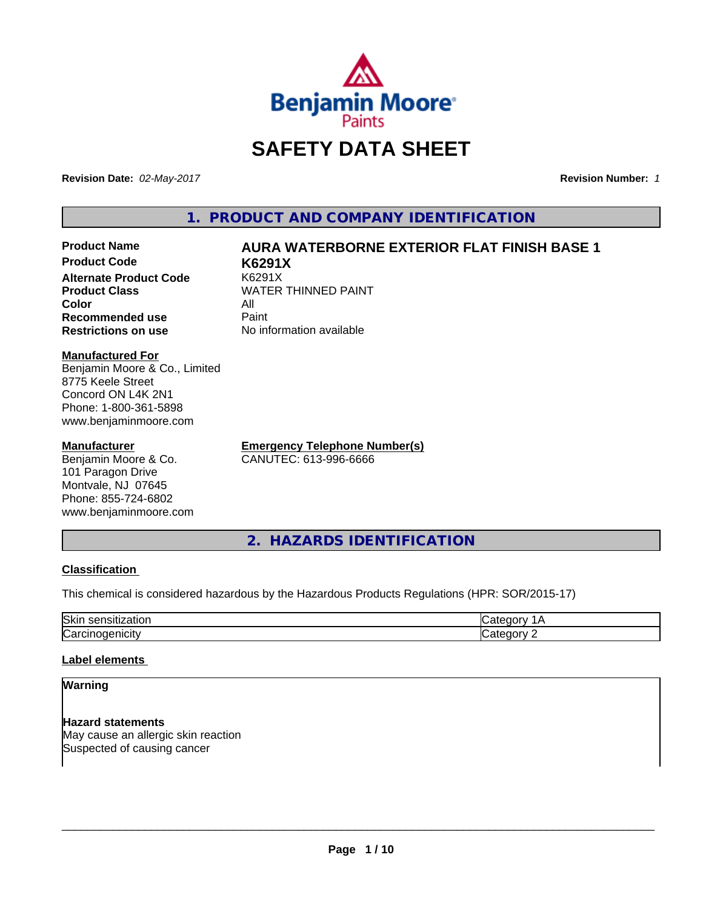

# **SAFETY DATA SHEET**

**Revision Date:** *02-May-2017* **Revision Number:** *1*

**1. PRODUCT AND COMPANY IDENTIFICATION**

# **Product Name AURA WATERBORNE EXTERIOR FLAT FINISH BASE 1**

**Product Code K6291X Alternate Product Code Product Class** WATER THINNED PAINT<br>
Color **Color** All **Recommended use** Paint **Restrictions on use** No information available

**Manufactured For** Benjamin Moore & Co., Limited 8775 Keele Street Concord ON L4K 2N1 Phone: 1-800-361-5898 www.benjaminmoore.com

#### **Manufacturer**

Benjamin Moore & Co. 101 Paragon Drive Montvale, NJ 07645 Phone: 855-724-6802 www.benjaminmoore.com **Emergency Telephone Number(s)** CANUTEC: 613-996-6666

**2. HAZARDS IDENTIFICATION**

#### **Classification**

This chemical is considered hazardous by the Hazardous Products Regulations (HPR: SOR/2015-17)

| Skir<br>,,,<br>. |  |
|------------------|--|
| ∽<br>.<br>ιUα    |  |

#### **Label elements**

#### **Warning**

**Hazard statements** May cause an allergic skin reaction Suspected of causing cancer

 $\overline{\phantom{a}}$  ,  $\overline{\phantom{a}}$  ,  $\overline{\phantom{a}}$  ,  $\overline{\phantom{a}}$  ,  $\overline{\phantom{a}}$  ,  $\overline{\phantom{a}}$  ,  $\overline{\phantom{a}}$  ,  $\overline{\phantom{a}}$  ,  $\overline{\phantom{a}}$  ,  $\overline{\phantom{a}}$  ,  $\overline{\phantom{a}}$  ,  $\overline{\phantom{a}}$  ,  $\overline{\phantom{a}}$  ,  $\overline{\phantom{a}}$  ,  $\overline{\phantom{a}}$  ,  $\overline{\phantom{a}}$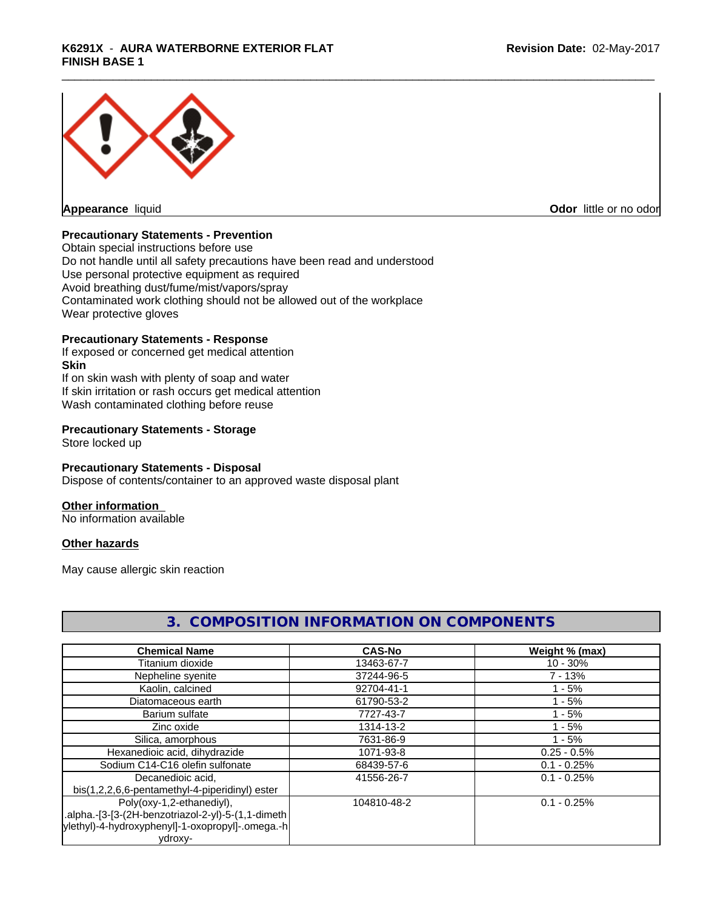# \_\_\_\_\_\_\_\_\_\_\_\_\_\_\_\_\_\_\_\_\_\_\_\_\_\_\_\_\_\_\_\_\_\_\_\_\_\_\_\_\_\_\_\_\_\_\_\_\_\_\_\_\_\_\_\_\_\_\_\_\_\_\_\_\_\_\_\_\_\_\_\_\_\_\_\_\_\_\_\_\_\_\_\_\_\_\_\_\_\_\_\_\_ **K6291X** - **AURA WATERBORNE EXTERIOR FLAT FINISH BASE 1**



**Appearance** liquid **Contract Contract Contract Contract Contract Contract Contract Contract Contract Contract Contract Contract Contract Contract Contract Contract Contract Contract Contract Contract Contract Contract Con** 

#### **Precautionary Statements - Prevention**

Obtain special instructions before use Do not handle until all safety precautions have been read and understood Use personal protective equipment as required Avoid breathing dust/fume/mist/vapors/spray Contaminated work clothing should not be allowed out of the workplace Wear protective gloves

#### **Precautionary Statements - Response**

If exposed or concerned get medical attention **Skin** If on skin wash with plenty of soap and water If skin irritation or rash occurs get medical attention Wash contaminated clothing before reuse

#### **Precautionary Statements - Storage**

Store locked up

#### **Precautionary Statements - Disposal**

Dispose of contents/container to an approved waste disposal plant

#### **Other information**

No information available

#### **Other hazards**

May cause allergic skin reaction

| <b>Chemical Name</b>                               | <b>CAS-No</b> | Weight % (max) |
|----------------------------------------------------|---------------|----------------|
| Titanium dioxide                                   | 13463-67-7    | $10 - 30%$     |
| Nepheline syenite                                  | 37244-96-5    | $7 - 13%$      |
| Kaolin, calcined                                   | 92704-41-1    | $1 - 5%$       |
| Diatomaceous earth                                 | 61790-53-2    | $1 - 5%$       |
| Barium sulfate                                     | 7727-43-7     | $1 - 5%$       |
| Zinc oxide                                         | 1314-13-2     | $1 - 5%$       |
| Silica, amorphous                                  | 7631-86-9     | $1 - 5%$       |
| Hexanedioic acid, dihydrazide                      | 1071-93-8     | $0.25 - 0.5%$  |
| Sodium C14-C16 olefin sulfonate                    | 68439-57-6    | $0.1 - 0.25%$  |
| Decanedioic acid,                                  | 41556-26-7    | $0.1 - 0.25%$  |
| bis(1,2,2,6,6-pentamethyl-4-piperidinyl) ester     |               |                |
| Poly(oxy-1,2-ethanediyl),                          | 104810-48-2   | $0.1 - 0.25%$  |
| .alpha.-[3-[3-(2H-benzotriazol-2-yl)-5-(1,1-dimeth |               |                |
| ylethyl)-4-hydroxyphenyl]-1-oxopropyl]-.omega.-h   |               |                |
| ydroxy-                                            |               |                |

# **3. COMPOSITION INFORMATION ON COMPONENTS**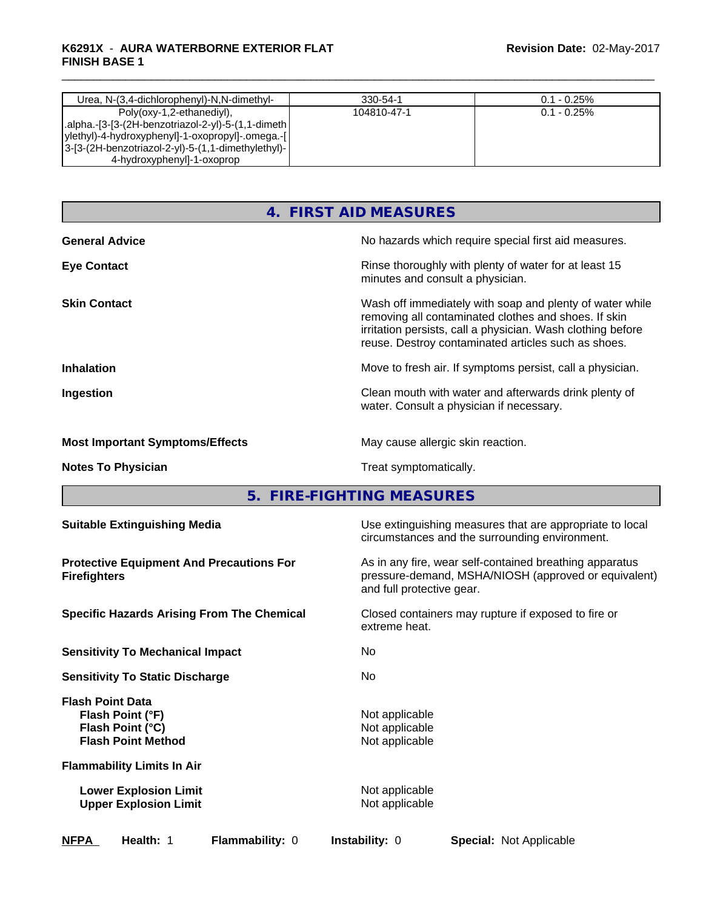#### \_\_\_\_\_\_\_\_\_\_\_\_\_\_\_\_\_\_\_\_\_\_\_\_\_\_\_\_\_\_\_\_\_\_\_\_\_\_\_\_\_\_\_\_\_\_\_\_\_\_\_\_\_\_\_\_\_\_\_\_\_\_\_\_\_\_\_\_\_\_\_\_\_\_\_\_\_\_\_\_\_\_\_\_\_\_\_\_\_\_\_\_\_ **K6291X** - **AURA WATERBORNE EXTERIOR FLAT FINISH BASE 1**

| Urea, N-(3,4-dichlorophenyl)-N,N-dimethyl-                           | 330-54-1    | $0.1 - 0.25\%$ |
|----------------------------------------------------------------------|-------------|----------------|
| Poly(oxy-1,2-ethanediyl),                                            | 104810-47-1 | $0.1 - 0.25\%$ |
| alpha.-[3-[3-(2H-benzotriazol-2-yl)-5-(1,1-dimeth.                   |             |                |
| ylethyl)-4-hydroxyphenyl]-1-oxopropyl]-.omega.-[                     |             |                |
| $ 3-[3-(2H\text{-}benzotriazol-2-yl)-5-(1,1\text{-}dimethylethyl)- $ |             |                |
| 4-hydroxyphenyl]-1-oxoprop                                           |             |                |

# **4. FIRST AID MEASURES**

| <b>General Advice</b>                  | No hazards which require special first aid measures.                                                                                                                                                                                   |
|----------------------------------------|----------------------------------------------------------------------------------------------------------------------------------------------------------------------------------------------------------------------------------------|
| <b>Eye Contact</b>                     | Rinse thoroughly with plenty of water for at least 15<br>minutes and consult a physician.                                                                                                                                              |
| <b>Skin Contact</b>                    | Wash off immediately with soap and plenty of water while<br>removing all contaminated clothes and shoes. If skin<br>irritation persists, call a physician. Wash clothing before<br>reuse. Destroy contaminated articles such as shoes. |
| <b>Inhalation</b>                      | Move to fresh air. If symptoms persist, call a physician.                                                                                                                                                                              |
| Ingestion                              | Clean mouth with water and afterwards drink plenty of<br>water. Consult a physician if necessary.                                                                                                                                      |
| <b>Most Important Symptoms/Effects</b> | May cause allergic skin reaction.                                                                                                                                                                                                      |
| <b>Notes To Physician</b>              | Treat symptomatically.                                                                                                                                                                                                                 |

**5. FIRE-FIGHTING MEASURES** 

| <b>Suitable Extinguishing Media</b>                                                          | Use extinguishing measures that are appropriate to local<br>circumstances and the surrounding environment.                                   |
|----------------------------------------------------------------------------------------------|----------------------------------------------------------------------------------------------------------------------------------------------|
| <b>Protective Equipment And Precautions For</b><br><b>Firefighters</b>                       | As in any fire, wear self-contained breathing apparatus<br>pressure-demand, MSHA/NIOSH (approved or equivalent)<br>and full protective gear. |
| <b>Specific Hazards Arising From The Chemical</b>                                            | Closed containers may rupture if exposed to fire or<br>extreme heat.                                                                         |
| <b>Sensitivity To Mechanical Impact</b>                                                      | No.                                                                                                                                          |
| <b>Sensitivity To Static Discharge</b>                                                       | <b>No</b>                                                                                                                                    |
| <b>Flash Point Data</b><br>Flash Point (°F)<br>Flash Point (°C)<br><b>Flash Point Method</b> | Not applicable<br>Not applicable<br>Not applicable                                                                                           |
| <b>Flammability Limits In Air</b>                                                            |                                                                                                                                              |
| <b>Lower Explosion Limit</b><br><b>Upper Explosion Limit</b>                                 | Not applicable<br>Not applicable                                                                                                             |
| <b>NFPA</b><br>Health: 1<br><b>Flammability: 0</b>                                           | <b>Instability: 0</b><br><b>Special: Not Applicable</b>                                                                                      |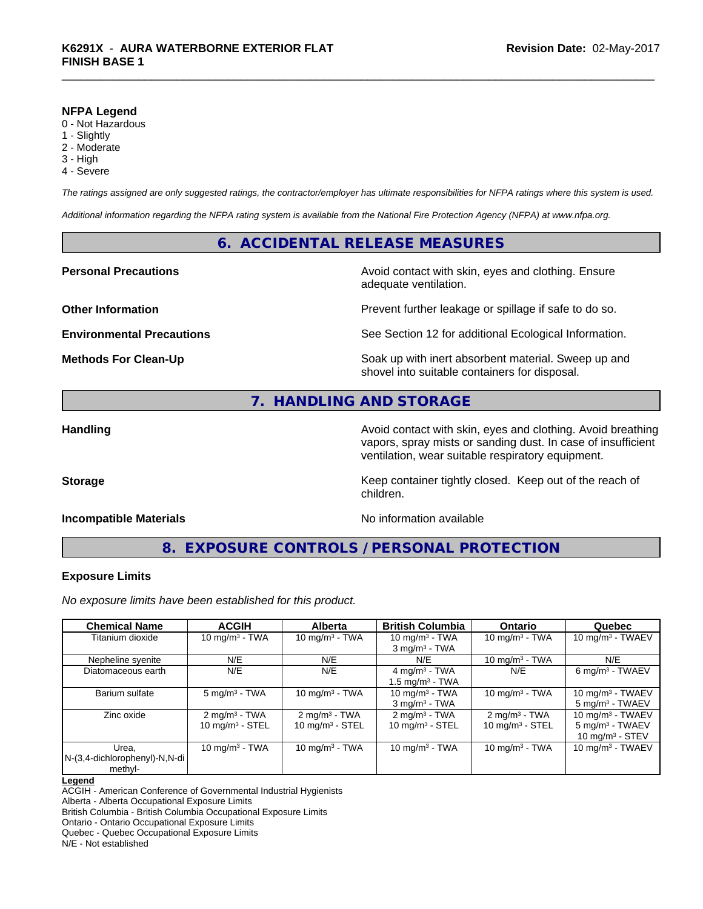#### **NFPA Legend**

- 0 Not Hazardous
- 1 Slightly
- 2 Moderate
- 3 High
- 4 Severe

*The ratings assigned are only suggested ratings, the contractor/employer has ultimate responsibilities for NFPA ratings where this system is used.*

*Additional information regarding the NFPA rating system is available from the National Fire Protection Agency (NFPA) at www.nfpa.org.*

#### **6. ACCIDENTAL RELEASE MEASURES**

#### **Personal Precautions Precautions** Avoid contact with skin, eyes and clothing. Ensure

**Other Information Other Information Prevent further leakage or spillage if safe to do so.** 

**Environmental Precautions** See Section 12 for additional Ecological Information.

**Methods For Clean-Up** Soak up with inert absorbent material. Sweep up and shovel into suitable containers for disposal.

# **7. HANDLING AND STORAGE**

Handling **Handling Handling Avoid contact with skin, eyes and clothing. Avoid breathing Handling A** vapors, spray mists or sanding dust. In case of insufficient ventilation, wear suitable respiratory equipment.

**Storage Keep container tightly closed.** Keep out of the reach of

#### **Incompatible Materials** Noinformation available

adequate ventilation.

**8. EXPOSURE CONTROLS / PERSONAL PROTECTION**

children.

#### **Exposure Limits**

*No exposure limits have been established for this product.*

| <b>Chemical Name</b>          | <b>ACGIH</b>               | <b>Alberta</b>                | <b>British Columbia</b>       | <b>Ontario</b>             | Quebec                       |
|-------------------------------|----------------------------|-------------------------------|-------------------------------|----------------------------|------------------------------|
| Titanium dioxide              | 10 mg/m $3$ - TWA          | 10 mg/m $3 - TWA$             | 10 mg/m $3$ - TWA             | 10 mg/m $3 - TWA$          | 10 mg/m <sup>3</sup> - TWAEV |
|                               |                            |                               | $3$ mg/m <sup>3</sup> - TWA   |                            |                              |
| Nepheline syenite             | N/E                        | N/E                           | N/E                           | 10 $mq/m3$ - TWA           | N/E                          |
| Diatomaceous earth            | N/E                        | N/E                           | 4 mg/m <sup>3</sup> - TWA     | N/E                        | 6 mg/m <sup>3</sup> - TWAEV  |
|                               |                            |                               | 1.5 mg/m <sup>3</sup> - TWA   |                            |                              |
| Barium sulfate                | $5 \text{ mg/m}^3$ - TWA   | 10 mg/m $3$ - TWA             | 10 mg/m $3$ - TWA             | 10 mg/m $3$ - TWA          | 10 mg/m <sup>3</sup> - TWAEV |
|                               |                            |                               | $3$ mg/m <sup>3</sup> - TWA   |                            | $5 \text{ mg/m}^3$ - TWAEV   |
| Zinc oxide                    | $2 \text{ mg/m}^3$ - TWA   | $2 \text{mq/m}^3$ - TWA       | $2 \text{ mg/m}^3$ - TWA      | $2 \text{mq/m}^3$ - TWA    | 10 mg/m $3$ - TWAEV          |
|                               | $10 \text{ mg/m}^3$ - STEL | $10$ mg/m <sup>3</sup> - STEL | $10$ mg/m <sup>3</sup> - STEL | $10 \text{ mg/m}^3$ - STEL | $5 \text{ mg/m}^3$ - TWAEV   |
|                               |                            |                               |                               |                            | 10 mg/m <sup>3</sup> - STEV  |
| Urea.                         | 10 mg/m $3$ - TWA          | 10 mg/m $3$ - TWA             | 10 mg/m $3$ - TWA             | 10 mg/m $3$ - TWA          | 10 mg/m $3$ - TWAEV          |
| N-(3,4-dichlorophenyl)-N,N-di |                            |                               |                               |                            |                              |
| methyl-                       |                            |                               |                               |                            |                              |

**Legend**

ACGIH - American Conference of Governmental Industrial Hygienists

Alberta - Alberta Occupational Exposure Limits

British Columbia - British Columbia Occupational Exposure Limits

Ontario - Ontario Occupational Exposure Limits

Quebec - Quebec Occupational Exposure Limits

N/E - Not established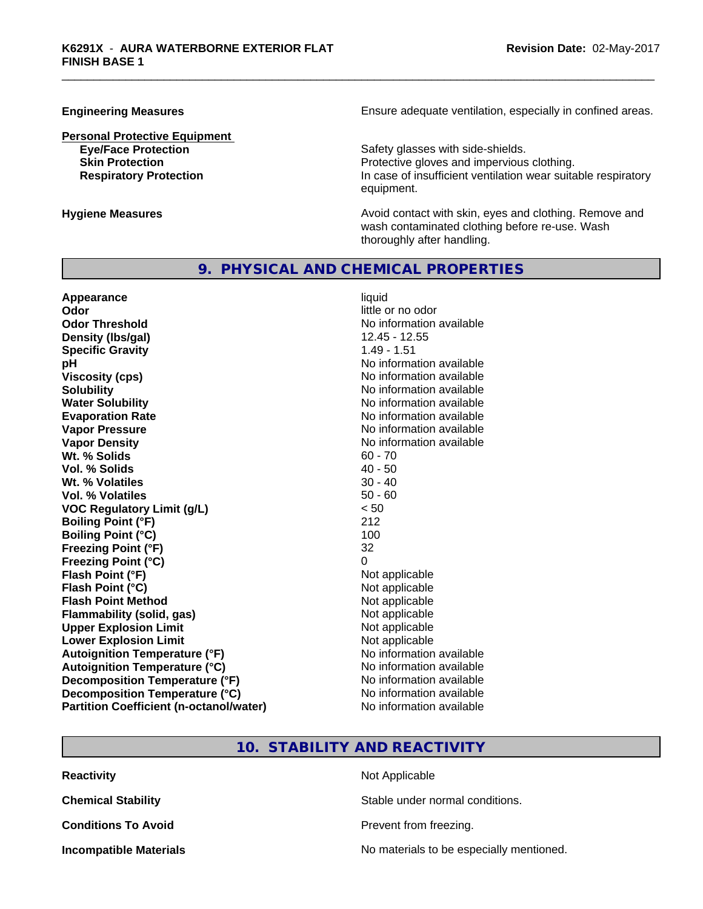**Personal Protective Equipment**

**Engineering Measures Ensure** Ensure adequate ventilation, especially in confined areas.

**Eye/Face Protection Safety glasses with side-shields. Skin Protection Protection Protective gloves and impervious clothing. Respiratory Protection In case of insufficient ventilation wear suitable respiratory** equipment.

**Hygiene Measures Avoid contact with skin, eyes and clothing. Remove and Avoid contact with skin, eyes and clothing. Remove and Avoid contact with skin, eyes and clothing. Remove and** wash contaminated clothing before re-use. Wash thoroughly after handling.

### **9. PHYSICAL AND CHEMICAL PROPERTIES**

**Appearance** liquid **Odor** little or no odor **Odor Threshold** No information available **Density (lbs/gal)** 12.45 - 12.55 **Specific Gravity** 1.49 - 1.51 **pH**<br>
Viscosity (cps) The Contract of the Contract of the Viscosity (cps) and Viscosity (cps) **Solubility** No information available **Water Solubility Water Solubility No information available Evaporation Rate Evaporation Rate No information available Vapor Pressure** No information available **Vapor Density**<br> **We Solids**<br>
We Solids
2018 Wt. % Solids **Vol. % Solids** 40 - 50 **Wt.** % Volatiles 30 - 40 **Vol. % Volatiles** 50 - 60 **VOC Regulatory Limit (g/L)** < 50 **Boiling Point (°F)** 212 **Boiling Point (°C)** 100 **Freezing Point (°F)** 32 **Freezing Point (°C)**<br> **Flash Point (°F)**<br> **Flash Point (°F)**<br> **Point (°F)**<br> **Point (°F)**<br> **Point (°F)**<br> **Point (°F) Flash Point (°F) Flash Point (°C)**<br> **Flash Point Method Contract Contract Contract Contract Contract Contract Contract Contract Contract Contract Contract Contract Contract Contract Contract Contract Contract Contract Contract Contract Flash Point Method Flammability (solid, gas)** Not applicable **Upper Explosion Limit** Not applicable **Lower Explosion Limit**<br> **Autoignition Temperature (°F)**<br> **Autoignition Temperature (°F)**<br> **Autoignition Temperature (°F) Autoignition Temperature (°F)**<br> **Autoignition Temperature (°C)** No information available **Autoignition Temperature (°C) Decomposition Temperature (°F)** No information available **Decomposition Temperature (°C)** No information available **Partition Coefficient (n-octanol/water)** No information available

**Viscosity (cps)** No information available

#### **10. STABILITY AND REACTIVITY**

| <b>Reactivity</b>             | Not Applicable                           |
|-------------------------------|------------------------------------------|
| <b>Chemical Stability</b>     | Stable under normal conditions.          |
| <b>Conditions To Avoid</b>    | Prevent from freezing.                   |
| <b>Incompatible Materials</b> | No materials to be especially mentioned. |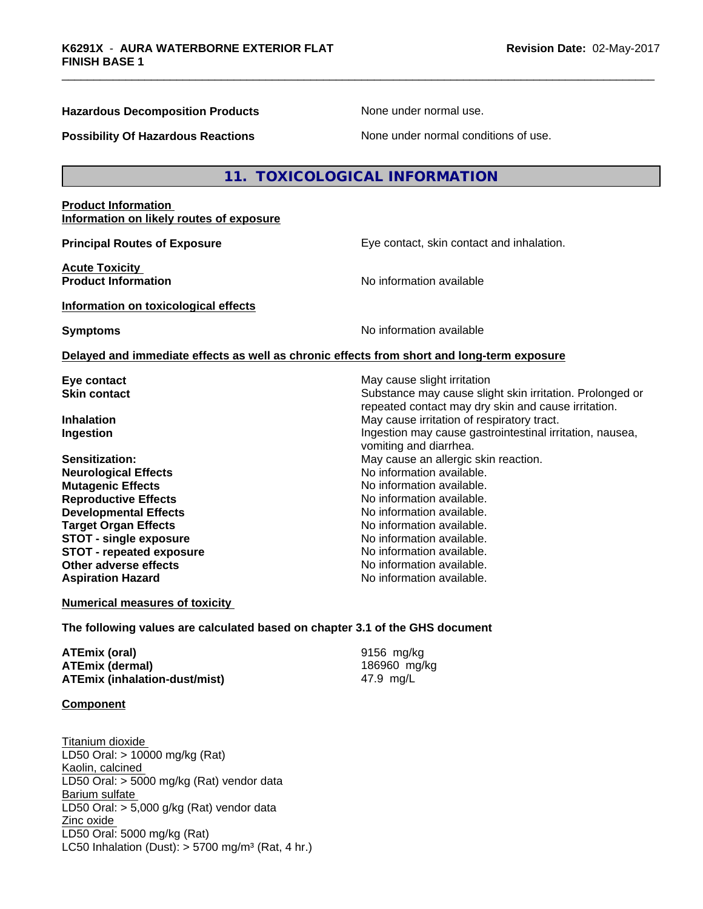#### **Hazardous Decomposition Products** None under normal use.

#### **Possibility Of Hazardous Reactions** None under normal conditions of use.

### **11. TOXICOLOGICAL INFORMATION**

#### **Product Information Information on likely routes of exposure**

**Acute Toxicity** 

**Principal Routes of Exposure Exposure** Eye contact, skin contact and inhalation.

repeated contact may dry skin and cause irritation.

**Product Information Information No information available** 

**Information on toxicological effects**

**Symptoms** No information available

vomiting and diarrhea.

No information available.<br>No information available.

#### **Delayed and immediate effects as well as chronic effects from short and long-term exposure**

**Eye contact Exercise Solution** May cause slight irritation **Skin contact** Substance may cause slight skin irritation. Prolonged or

**Inhalation** May cause irritation of respiratory tract. **Ingestion Ingestion Index is a linear in the line of the line of the line of the line of the line of the line of the line of the line of the line of the line of the line of the line of the line of the line of the line** 

**Sensitization:** May cause an allergic skin reaction.<br> **Neurological Effects**<br>
Mo information available. **Mutagenic Effects No information available.**<br> **Reproductive Effects No information available. Reproductive Effects**<br> **Reproductive Effects**<br> **Developmental Effects**<br> **No information available. Developmental Effects Target Organ Effects**<br> **STOT - single exposure**<br> **STOT - single exposure**<br> **No information available. STOT - single exposure**<br> **STOT - repeated exposure**<br> **STOT - repeated exposure**<br> **No information available. STOT** - repeated exposure **Other adverse effects** No information available. **Aspiration Hazard Aspiration Hazard No information available.** 

**Numerical measures of toxicity**

**The following values are calculated based on chapter 3.1 of the GHS document**

**ATEmix (oral)** 9156 mg/kg **ATEmix (dermal)** 186960 mg/kg **ATEmix (inhalation-dust/mist)** 47.9 mg/L

**Component**

Titanium dioxide LD50 Oral: > 10000 mg/kg (Rat) Kaolin, calcined LD50 Oral: > 5000 mg/kg (Rat) vendor data Barium sulfate LD50 Oral: > 5,000 g/kg (Rat) vendor data Zinc oxide LD50 Oral: 5000 mg/kg (Rat) LC50 Inhalation (Dust):  $> 5700$  mg/m<sup>3</sup> (Rat, 4 hr.)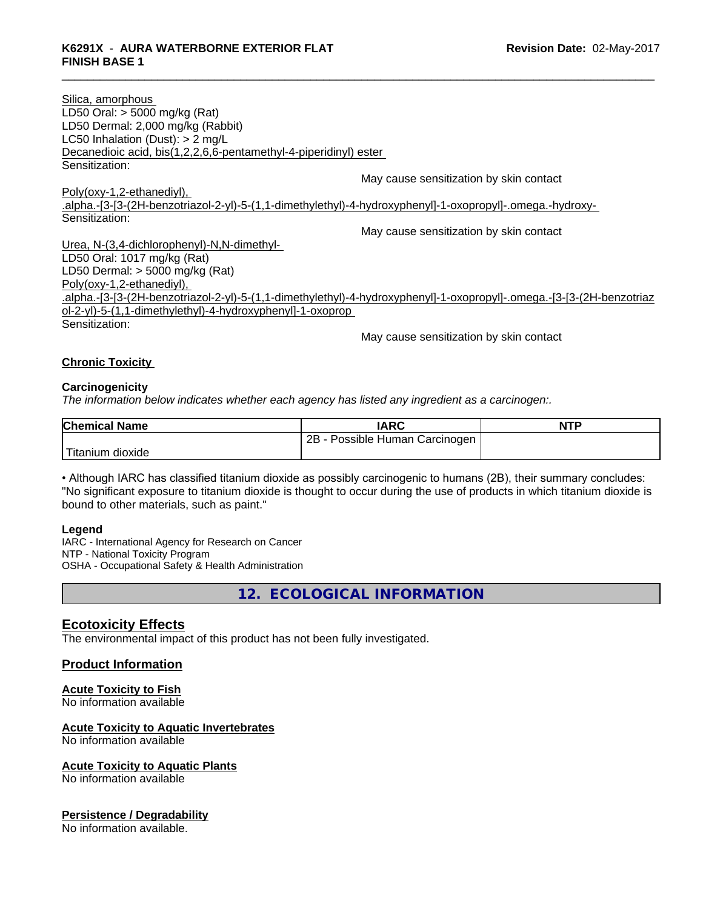| Silica, amorphous                                                                                                     |
|-----------------------------------------------------------------------------------------------------------------------|
| LD50 Oral: $>$ 5000 mg/kg (Rat)                                                                                       |
| LD50 Dermal: 2,000 mg/kg (Rabbit)                                                                                     |
| LC50 Inhalation (Dust): $> 2$ mg/L                                                                                    |
| Decanedioic acid, bis(1,2,2,6,6-pentamethyl-4-piperidinyl) ester                                                      |
| Sensitization:                                                                                                        |
| May cause sensitization by skin contact                                                                               |
| Poly(oxy-1,2-ethanediyl),                                                                                             |
| .alpha.-[3-[3-(2H-benzotriazol-2-yl)-5-(1,1-dimethylethyl)-4-hydroxyphenyl]-1-oxopropyl]-.omega.-hydroxy-             |
| Sensitization:                                                                                                        |
| May cause sensitization by skin contact                                                                               |
| Urea, N-(3,4-dichlorophenyl)-N,N-dimethyl-                                                                            |
| LD50 Oral: 1017 mg/kg (Rat)                                                                                           |
| LD50 Dermal: $>$ 5000 mg/kg (Rat)                                                                                     |
| Poly(oxy-1,2-ethanediyl),                                                                                             |
| .alpha.-[3-[3-(2H-benzotriazol-2-yl)-5-(1,1-dimethylethyl)-4-hydroxyphenyl]-1-oxopropyl]-.omega.-[3-[3-(2H-benzotriaz |
| ol-2-yl)-5-(1,1-dimethylethyl)-4-hydroxyphenyl]-1-oxoprop                                                             |
| Sensitization:                                                                                                        |
| May cause sensitization by skin contact                                                                               |
|                                                                                                                       |

#### **Chronic Toxicity**

#### **Carcinogenicity**

*The information below indicateswhether each agency has listed any ingredient as a carcinogen:.*

| <b>Chemical Name</b>  | <b>IARC</b>                         | <b>NTP</b> |
|-----------------------|-------------------------------------|------------|
|                       | Possible Human Carcinogen<br>$2B -$ |            |
| Titanium L<br>dioxide |                                     |            |

• Although IARC has classified titanium dioxide as possibly carcinogenic to humans (2B), their summary concludes: "No significant exposure to titanium dioxide is thought to occur during the use of products in which titanium dioxide is bound to other materials, such as paint."

#### **Legend**

IARC - International Agency for Research on Cancer NTP - National Toxicity Program OSHA - Occupational Safety & Health Administration

**12. ECOLOGICAL INFORMATION**

#### **Ecotoxicity Effects**

The environmental impact of this product has not been fully investigated.

#### **Product Information**

# **Acute Toxicity to Fish**

No information available

#### **Acute Toxicity to Aquatic Invertebrates**

No information available

#### **Acute Toxicity to Aquatic Plants**

No information available

#### **Persistence / Degradability**

No information available.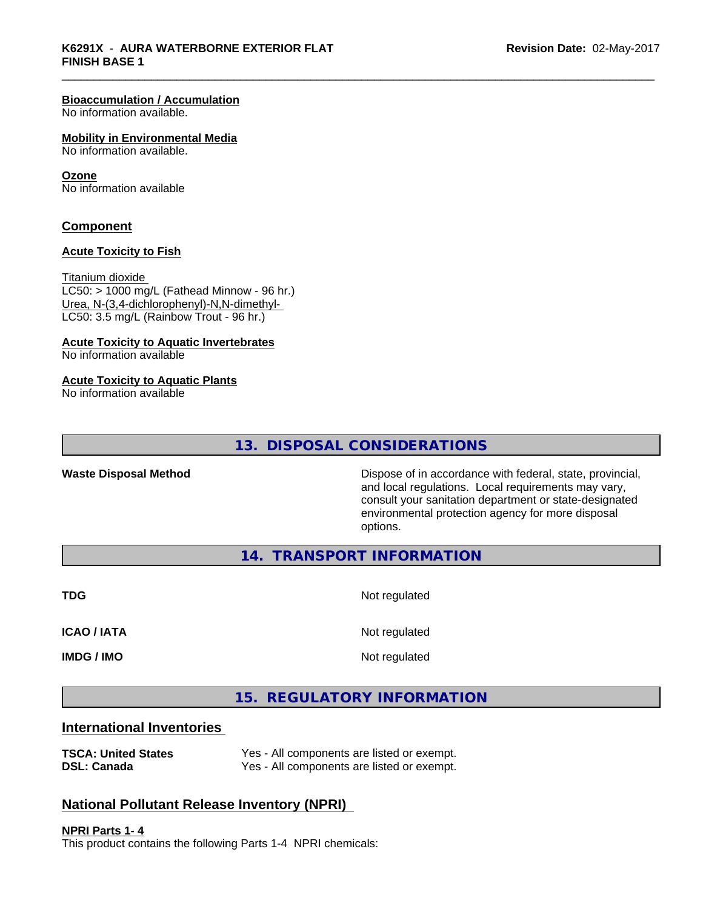#### **Bioaccumulation / Accumulation**

No information available.

#### **Mobility in Environmental Media**

No information available.

#### **Ozone**

No information available

#### **Component**

#### **Acute Toxicity to Fish**

Titanium dioxide  $LC50:$  > 1000 mg/L (Fathead Minnow - 96 hr.) Urea, N-(3,4-dichlorophenyl)-N,N-dimethyl- LC50: 3.5 mg/L (Rainbow Trout - 96 hr.)

#### **Acute Toxicity to Aquatic Invertebrates**

No information available

#### **Acute Toxicity to Aquatic Plants**

No information available

# **13. DISPOSAL CONSIDERATIONS**

**Waste Disposal Method Dispose of in accordance with federal, state, provincial,** and local regulations. Local requirements may vary, consult your sanitation department or state-designated environmental protection agency for more disposal options.

**14. TRANSPORT INFORMATION**

**TDG** Not regulated **ICAO / IATA** Not regulated **IMDG / IMO** Not regulated

**15. REGULATORY INFORMATION**

### **International Inventories**

| <b>TSCA: United States</b> | Yes - All components are listed or exempt. |
|----------------------------|--------------------------------------------|
| <b>DSL: Canada</b>         | Yes - All components are listed or exempt. |

# ponents are listed or exempt.

# **National Pollutant Release Inventory (NPRI)**

**NPRI Parts 1- 4** This product contains the following Parts 1-4 NPRI chemicals: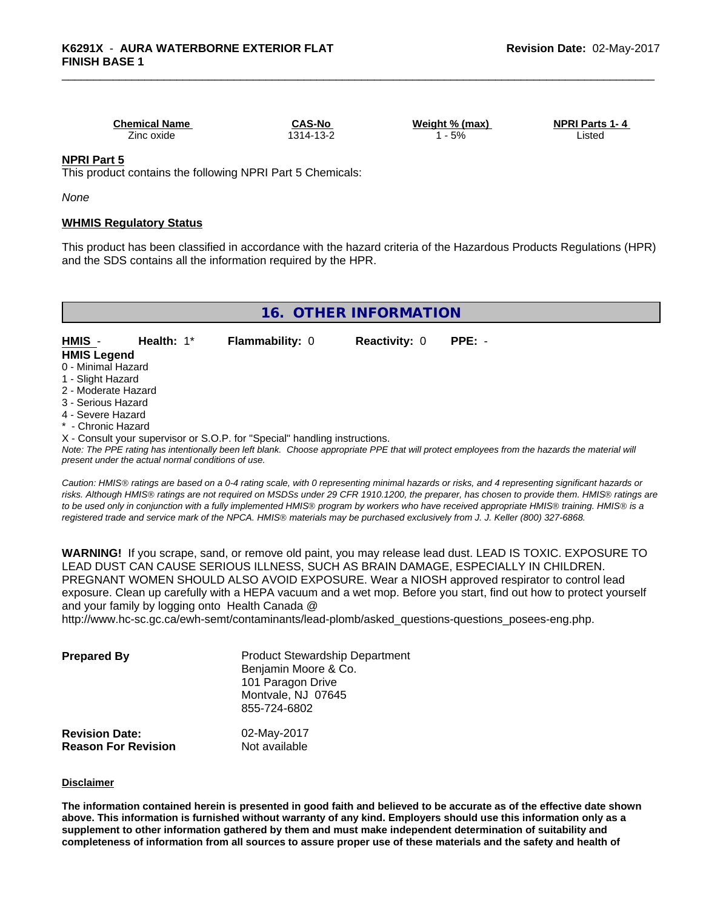**Chemical Name CAS-No Weight % (max) NPRI Parts 1- 4** Zinc oxide 1314-13-2 1 - 5% Listed

#### **NPRI Part 5**

This product contains the following NPRI Part 5 Chemicals:

*None*

#### **WHMIS Regulatory Status**

This product has been classified in accordance with the hazard criteria of the Hazardous Products Regulations (HPR) and the SDS contains all the information required by the HPR.

|  | 16. OTHER INFORMATION |  |
|--|-----------------------|--|
|--|-----------------------|--|

| <b>HMIS</b>         | Health: $1^*$ | <b>Flammability: 0</b> | <b>Reactivity: 0</b> | $PPE: -$ |
|---------------------|---------------|------------------------|----------------------|----------|
| <b>HMIS Legend</b>  |               |                        |                      |          |
| 0 - Minimal Hazard  |               |                        |                      |          |
| 1 - Slight Hazard   |               |                        |                      |          |
| 2 - Moderate Hazard |               |                        |                      |          |
| 3 - Serious Hazard  |               |                        |                      |          |
| 4 - Severe Hazard   |               |                        |                      |          |

- \* Chronic Hazard
- X Consult your supervisor or S.O.P. for "Special" handling instructions.

*Note: The PPE rating has intentionally been left blank. Choose appropriate PPE that will protect employees from the hazards the material will present under the actual normal conditions of use.*

*Caution: HMISÒ ratings are based on a 0-4 rating scale, with 0 representing minimal hazards or risks, and 4 representing significant hazards or risks. Although HMISÒ ratings are not required on MSDSs under 29 CFR 1910.1200, the preparer, has chosen to provide them. HMISÒ ratings are to be used only in conjunction with a fully implemented HMISÒ program by workers who have received appropriate HMISÒ training. HMISÒ is a registered trade and service mark of the NPCA. HMISÒ materials may be purchased exclusively from J. J. Keller (800) 327-6868.*

**WARNING!** If you scrape, sand, or remove old paint, you may release lead dust. LEAD IS TOXIC. EXPOSURE TO LEAD DUST CAN CAUSE SERIOUS ILLNESS, SUCH AS BRAIN DAMAGE, ESPECIALLY IN CHILDREN. PREGNANT WOMEN SHOULD ALSO AVOID EXPOSURE.Wear a NIOSH approved respirator to control lead exposure. Clean up carefully with a HEPA vacuum and a wet mop. Before you start, find out how to protect yourself and your family by logging onto Health Canada @

http://www.hc-sc.gc.ca/ewh-semt/contaminants/lead-plomb/asked\_questions-questions\_posees-eng.php.

| <b>Prepared By</b>                                  | <b>Product Stewardship Department</b><br>Benjamin Moore & Co.<br>101 Paragon Drive<br>Montvale, NJ 07645<br>855-724-6802 |  |
|-----------------------------------------------------|--------------------------------------------------------------------------------------------------------------------------|--|
| <b>Revision Date:</b><br><b>Reason For Revision</b> | 02-May-2017<br>Not available                                                                                             |  |

#### **Disclaimer**

The information contained herein is presented in good faith and believed to be accurate as of the effective date shown above. This information is furnished without warranty of any kind. Employers should use this information only as a **supplement to other information gathered by them and must make independent determination of suitability and** completeness of information from all sources to assure proper use of these materials and the safety and health of